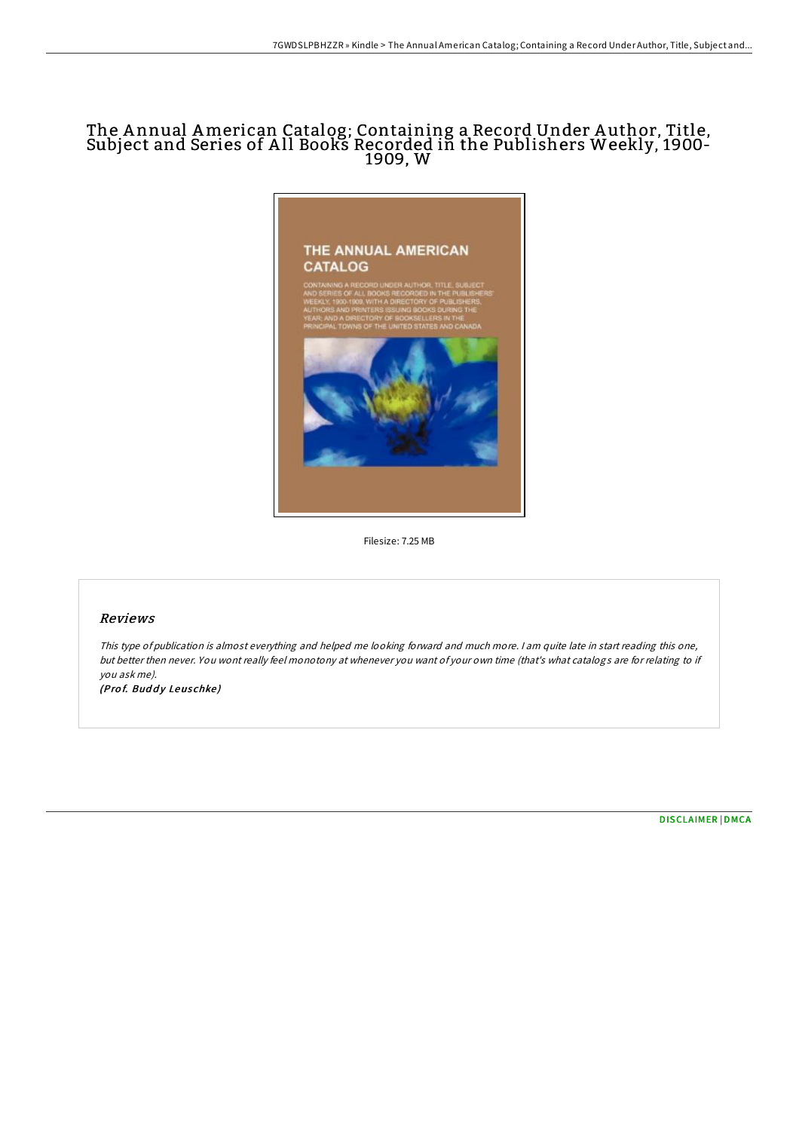# The A nnual American Catalog; Containing a Record Under A uthor, Title, Subject and Series of All Books Recorded in the Publishers Weekly, 1900-1909, W



Filesize: 7.25 MB

# Reviews

This type of publication is almost everything and helped me looking forward and much more. <sup>I</sup> am quite late in start reading this one, but better then never. You wont really feel monotony at whenever you want of your own time (that's what catalogs are for relating to if you ask me).

(Prof. Buddy Leuschke)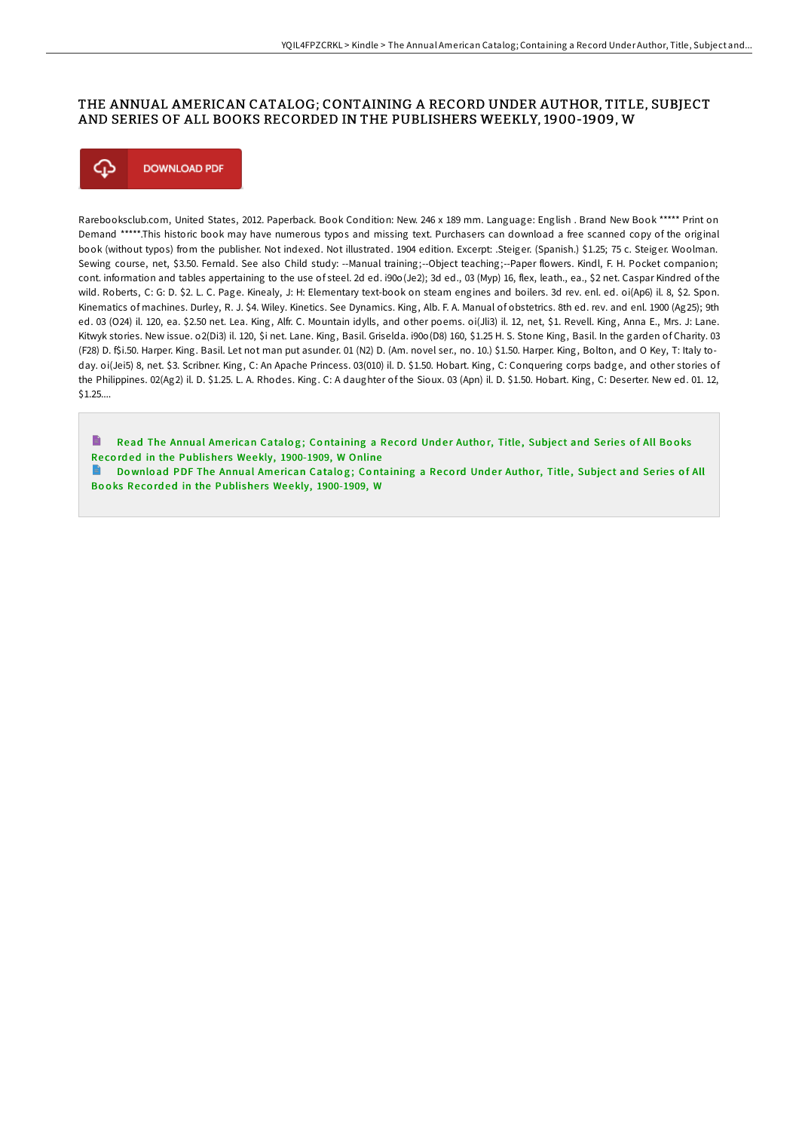## THE ANNUAL AMERICAN CATALOG; CONTAINING A RECORD UNDER AUTHOR, TITLE, SUBJECT AND SERIES OF ALL BOOKS RECORDED IN THE PUBLISHERS WEEKLY, 1900-1909, W



Rarebooksclub.com, United States, 2012. Paperback. Book Condition: New. 246 x 189 mm. Language: English . Brand New Book \*\*\*\*\* Print on Demand \*\*\*\*\*.This historic book may have numerous typos and missing text. Purchasers can download a free scanned copy of the original book (without typos) from the publisher. Not indexed. Not illustrated. 1904 edition. Excerpt: .Steiger. (Spanish.) \$1.25; 75 c. Steiger. Woolman. Sewing course, net, \$3.50. Fernald. See also Child study: --Manual training;--Object teaching;--Paper flowers. Kindl, F. H. Pocket companion; cont. information and tables appertaining to the use of steel. 2d ed. i90o(Je2); 3d ed., 03 (Myp) 16, flex, leath., ea., \$2 net. Caspar Kindred of the wild. Roberts, C: G: D. \$2. L. C. Page. Kinealy, J: H: Elementary text-book on steam engines and boilers. 3d rev. enl. ed. oi(Ap6) il. 8, \$2. Spon. Kinematics of machines. Durley, R. J. \$4. Wiley. Kinetics. See Dynamics. King, Alb. F. A. Manual of obstetrics. 8th ed. rev. and enl. 1900 (Ag25); 9th ed. 03 (O24) il. 120, ea. \$2.50 net. Lea. King, Alfr. C. Mountain idylls, and other poems. oi(Jli3) il. 12, net, \$1. Revell. King, Anna E., Mrs. J: Lane. Kitwyk stories. New issue. o2(Di3) il. 120, \$i net. Lane. King, Basil. Griselda. i90o(D8) 160, \$1.25 H. S. Stone King, Basil. In the garden of Charity. 03 (F28) D. f\$i.50. Harper. King. Basil. Let not man put asunder. 01 (N2) D. (Am. novel ser., no. 10.) \$1.50. Harper. King, Bolton, and O Key, T: Italy today. oi(Jei5) 8, net. \$3. Scribner. King, C: An Apache Princess. 03(010) il. D. \$1.50. Hobart. King, C: Conquering corps badge, and other stories of the Philippines. 02(Ag2) il. D. \$1.25. L. A. Rhodes. King. C: A daughter of the Sioux. 03 (Apn) il. D. \$1.50. Hobart. King, C: Deserter. New ed. 01. 12, \$1.25....

Read The Annual American Catalog; Containing a Record Under Author, Title, Subject and Series of All Books Recorded in the Publishers Weekly, [1900-1909,](http://almighty24.tech/the-annual-american-catalog-containing-a-record-.html) W Online

Download PDF The Annual American Catalog; Containing a Record Under Author, Title, Subject and Series of All Books Recorded in the Publishers Weekly, [1900-1909,](http://almighty24.tech/the-annual-american-catalog-containing-a-record-.html) W